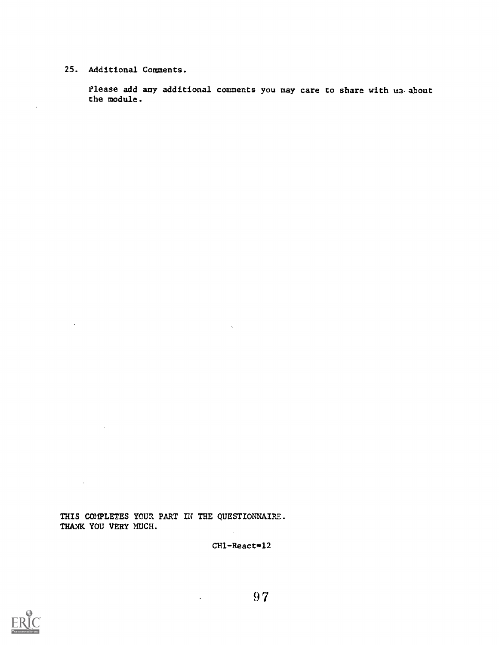## 25. Additional Comments.

 $\ddot{\phantom{a}}$ 

 $\bar{z}$ 

 $\sim 10^7$ 

 $\mathcal{L}(\mathcal{A})$  and  $\mathcal{L}(\mathcal{A})$ 

Please add any additional comments you may care to share with us about the module.

THIS COMPLETES YOUR PART IN THE QUESTIONNAIRE. THANK YOU VERY MUCH.

 $CH1 -$ React $=$ 12

 $\Delta \sim 10^{-11}$ 

 $\hat{\mathcal{A}}$ 

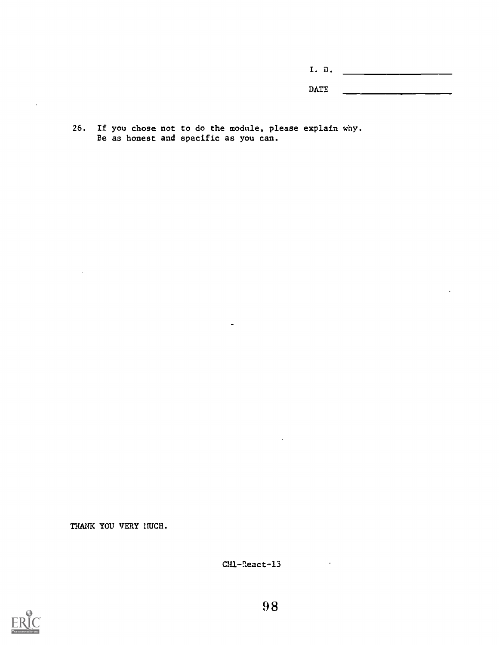I. D.  $\overline{\text{DATE}}$ 

26. If you chose not to do the module, please explain why. Be as honest and specific as you can.

 $\tilde{\phantom{a}}$ 

THANK YOU VERY HUCH.

CH1-React-13



 $\ddot{\phantom{a}}$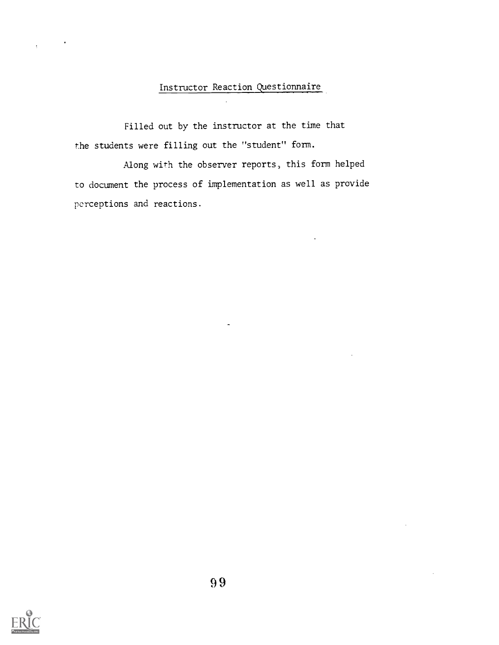# Instructor Reaction Questionnaire

Filled out by the instructor at the time that the students were filling out the "student" form.

Along with the observer reports, this form helped to document the process of implementation as well as provide perceptions and reactions.



 $\ddot{\phantom{a}}$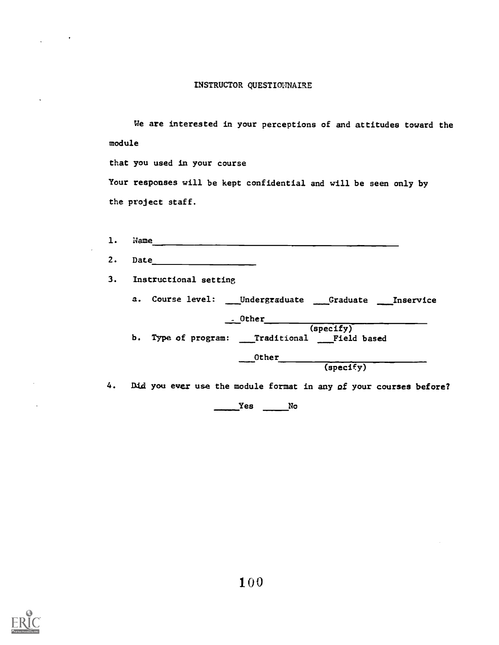#### INSTRUCTOR QUESTIONNAIRE

We are interested in your perceptions of and attitudes toward the module

that you used in your course

Your responses will be kept confidential and will be seen only by the project staff.

| $\mathbf{1}$ . | Name                                                              |
|----------------|-------------------------------------------------------------------|
| 2.             | Date                                                              |
| 3.             | Instructional setting                                             |
|                | a. Course level: ___ Undergraduate ___ Graduate ___ Inservice     |
|                | - Other<br>(spectfy)                                              |
|                | b. Type of program: __Traditional __Field based                   |
|                | Other                                                             |
|                | (spectfy)                                                         |
| 4.             | Did you ever use the module format in any of your courses before? |

Yes No

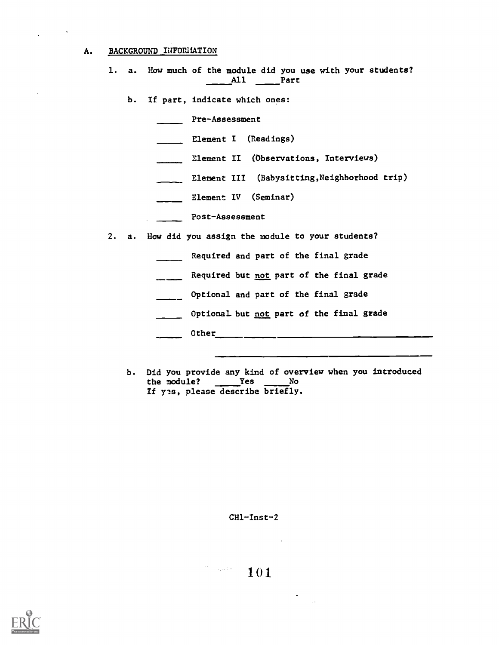## A. BACKGROUND INFORMATION

 $\mathbf{v}$ 

- 1. a. How much of the module did you use with your students?  $\begin{array}{ccc} 1 & \cdots & 1 \end{array}$  Part
	- b. If part, indicate which ones:

Pre-Assessment

- Element I (Readings)
- Element II (Observations, Interviews)
- Element III (Babysitting, Neighborhood trip)
- **Element IV** (Seminar)
- Post-Assessment
- 2. a. How did you assign the module to your students?
	- Required and part of the final grade
	- Required but not part of the final grade
	- Optional and part of the final grade
	- **Optional but not part of the final grade**
	- Other
	- b. Did you provide any kind of overview when you introduced the module? Yes No If yes, please describe briefly.

 $CH1 - Inst - 2$ 

 $\mathcal{C}=\{x_{0},...,\hat{x}_{n}\}$ 101

 $\frac{1}{\sqrt{2}}\frac{1}{\sqrt{2}}$ 

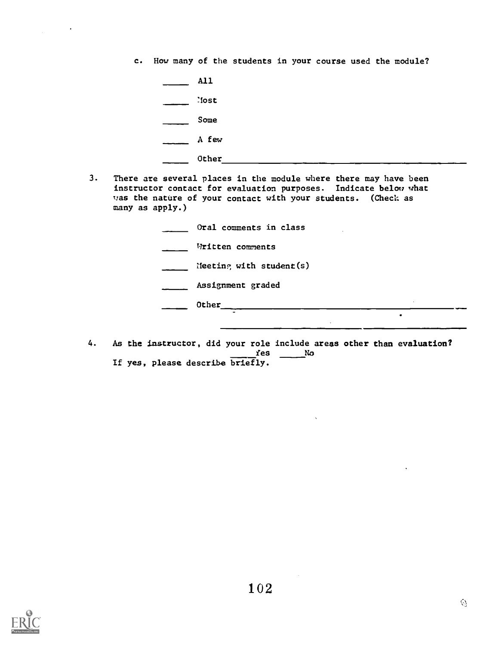c. How many of the students in your course used the module?

All lost Some  $A$  few

 $\bullet$ 

- Other
- 3. There are several places in the module where there may have been instructor contact for evaluation purposes. Indicate below what was the nature of your contact with your students. (Check as many as apply.)

| Oral comments in class     |
|----------------------------|
| Written comments           |
| Meeting with student $(s)$ |
| Assignment graded          |
| Other                      |
| ٠                          |

4. As the instructor, did your role include areas other than evaluation?  $f$ es  $\_\_\_\_$  No If yes, please describe briefly.

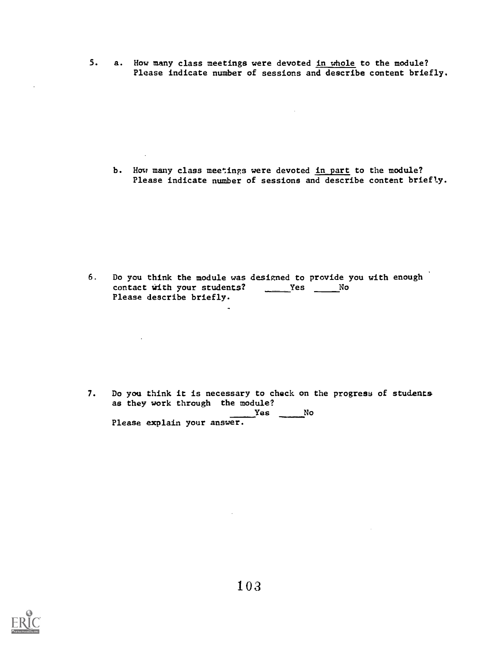5. a. How many class meetings were devoted in whole to the module? Please indicate number of sessions and describe content briefly.

b. How many class meetings were devoted in part to the module? Please indicate number of sessions and describe content briefly.

6. Do you think the module was designed to provide you with enough contact with your students?  $\qquad \qquad \text{Yes} \qquad N$ o Please describe briefly.

 $\sim 10^{10}$  km s  $^{-1}$ 

7. Do you think it is necessary to check on the progress of students as they work through the module?  $Yes$  No Please explain your answer.



 $\mathcal{L}_{\rm{in}}$ 

 $\omega$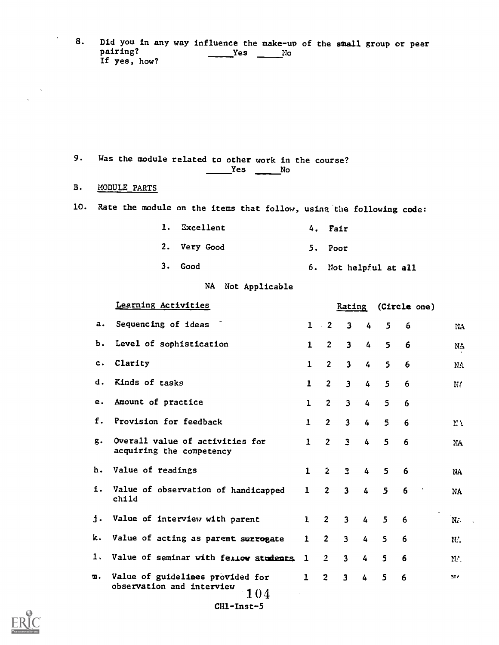8. Did you in any way influence the make-up of the small group or peer pairing?<br>
Yes No  $\rule{1em}{0.15mm}$   $\qquad$  Yes  $\rule{1em}{0.15mm}$   $\qquad$   $\frac{1}{2}$   $\qquad$   $\frac{1}{2}$ If yes, how?

9. Was the module related to other work in the course?  $Yes$  No

#### B. MODULE PARTS

 $\bullet$ 

10. Rate the module on the items that follow, using the following code:

1. Excellent 2. Very Good 3. Good 4. Fair 5. Poor 6. Not helpful at all

# NA Not Applicable

|    | Learning Activities                                                  |              |                | Rating                  |                | (Circle one) |                 |         |
|----|----------------------------------------------------------------------|--------------|----------------|-------------------------|----------------|--------------|-----------------|---------|
| а. | Sequencing of ideas                                                  |              | $1 \cdot 2$    | $\mathbf{3}$            | $\overline{4}$ | 5            | 6               | IIA     |
| Ъ. | Level of sophistication                                              | $\mathbf 1$  | $\overline{c}$ | $\overline{\mathbf{3}}$ | 4              | 5            | 6               | NA      |
| c. | Clarity                                                              | $\mathbf{1}$ | $\overline{2}$ | $\mathbf{3}$            | 4              | 5            | $6\phantom{1}6$ | NA.     |
| d. | Kinds of tasks                                                       | 1            | $\overline{2}$ | $\overline{\mathbf{3}}$ | $\overline{4}$ | 5            | 6               | N       |
| е. | Amount of practice                                                   | $\mathbf{1}$ | $\overline{c}$ | $\overline{\mathbf{3}}$ | $\overline{4}$ | 5            | 6               |         |
| f. | Provision for feedback                                               | $\mathbf{1}$ | 2 <sup>1</sup> | $\mathbf{3}$            | 4              | 5            | 6               | ΜY      |
| g. | Overall value of activities for<br>acquiring the competency          | $\mathbf{1}$ | $\overline{2}$ | $\overline{\mathbf{3}}$ | $\overline{4}$ | 5            | 6               | NA      |
| h. | Value of readings                                                    | $\mathbf{1}$ | $\mathbf{2}$   | $\overline{3}$          | $\overline{4}$ | $\mathbf{5}$ | 6               | NA      |
|    | i. Value of observation of handicapped<br>child                      | $\mathbf{1}$ | $\overline{2}$ | $\mathbf{3}$            | $\overline{4}$ | 5            | 6               | NA      |
| j. | Value of interview with parent                                       | $\mathbf{1}$ | $\overline{2}$ | $\mathbf{3}$            | $\overline{4}$ | 5            | 6               | $N_A$ . |
| k. | Value of acting as parent surrogate                                  | $\mathbf{1}$ | $\overline{2}$ | $\overline{\mathbf{3}}$ | 4              | 5            | 6               | NA.     |
| l, | Value of seminar with feriow students                                | 1            | $\overline{2}$ | $\overline{\mathbf{3}}$ | 4              | 5            | 6               | N.      |
| m. | Value of guidelines provided for<br>observation and interview<br>104 | $\mathbf{1}$ | $\overline{2}$ | $\overline{\mathbf{3}}$ | 4              | $\mathsf{S}$ | 6               | MA      |
|    | CH1-Inst-5                                                           |              |                |                         |                |              |                 |         |

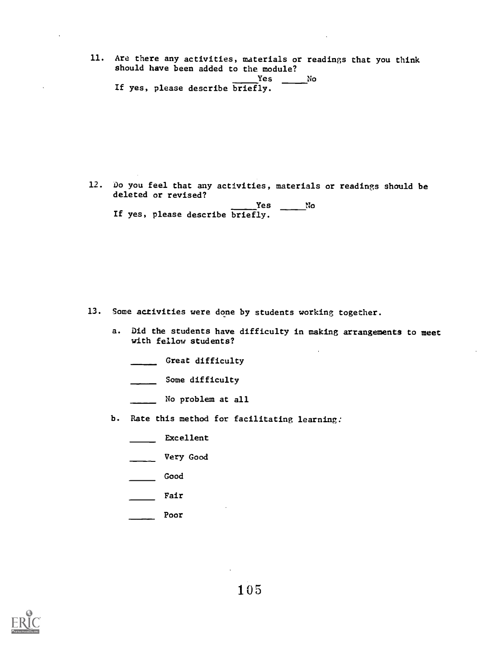- 11. Are there any activities, materials or readings that you think should have been added to the module? Yes No
	- If yes, please describe briefly.

12. Do you feel that any activities, materials or readings should be deleted or revised?

|  |  | Yes                              | No |  |
|--|--|----------------------------------|----|--|
|  |  | If yes, please describe briefly. |    |  |

- 13. Some activities were done by students working together.
	- a. Did the students have difficulty in making arrangements to meet with fellow students?
		- \_\_\_\_\_ Great difficulty
		- \_\_\_\_\_ Some difficulty
		- No problem at all
	- b. Rate this method for facilitating learning:
		- Excellent
		- Very Good
		- Good
		- **Fair**
		- Poor

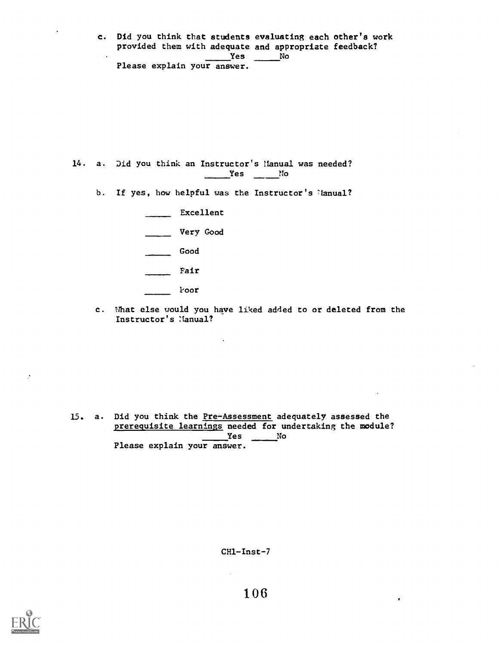c. Did you think that students evaluating each other's work provided them with adequate and appropriate feedback? <u>Yes</u> No Please explain your answer.

14. a. Did you think an Instructor's Manual was needed?  $Yes$  No

b. If yes, how helpful was the Instructor's Manual?

| Excellent |
|-----------|
| Very Good |
| Good      |
| Fair      |
| Foor      |

c. What else would you have liked added to or deleted from the Instructor's Manual?

15. a. Did you think the Pre-Assessment adequately assessed the prerequisite learnings needed for undertaking the module?  $Yes$  No Please explain your answer.

 $\mathcal{L}$ 

 $CH1 - Inst - 7$ 

 $\bullet$ 



 $\mathcal{C}$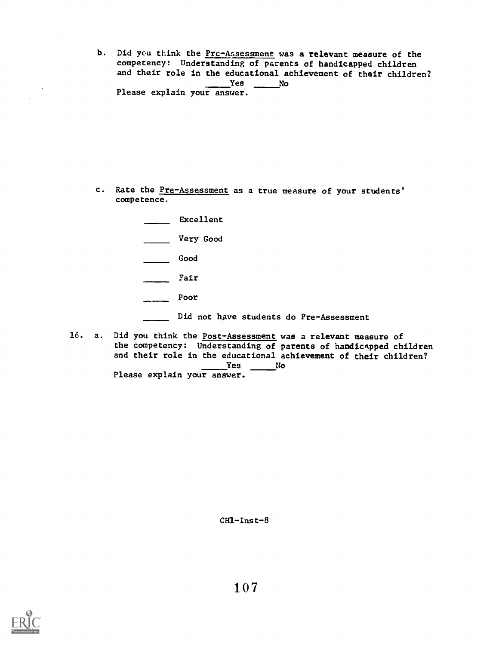b. Did you think the Pre-Assessment was a relevant measure of the competency: Understanding of parents of handicapped children and their role in the educational achievement of their children? Yes No Please explain your answer.

- c. Rate the Pre-Assessment as a true measure of your students' competence.
	- **Excellent** Very Good Good Fair Poor
		- Did not have students do Pre-Assessment
- 16. a. Did you think the Post-Assessment was a relevant measure of the competency: Understanding of parents of handicapped children and their role in the educational achievement of their children?<br>Yes No Yes No Please explain your answer.

 $CH1 - Inst - 8$ 

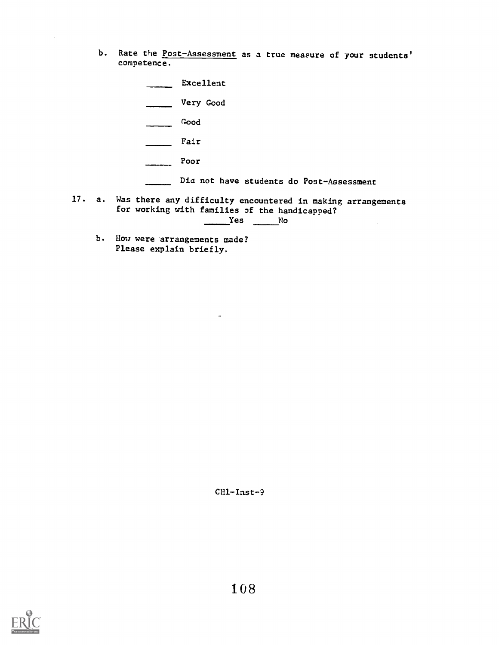- b. Rate the Post-Assessment as a true measure of your students' competence.
- Excellent Very Good Good  $\overline{\phantom{a}}$  $\overline{\phantom{a}}$ Fair Poor Dia not have students do Post-Assessment 17. a. Was there any difficulty encountered in making arrangements for working with families of the handicapped?  $Yes$  No
	- b. How were arrangements made? Please explain briefly.

 $CH1 - Inst - 9$ 

 $\tilde{\phantom{a}}$ 

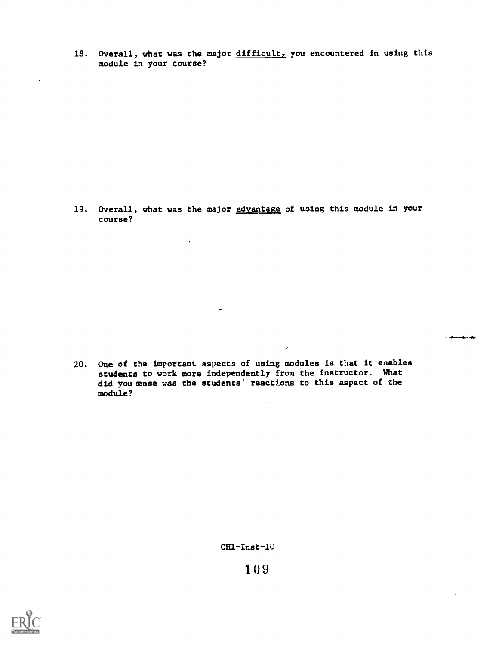18. Overall, what was the major  $difficult<sub>y</sub>$  you encountered in using this module in your course?

19. Overall, what was the major advantage of using this module in your course?

 $\ddot{\phantom{a}}$ 

20. One of the important aspects of using modules is that it enables students to work more independently from the instructor. What did you sanse was the students' react±ons to this aspect of the module?

 $\ddot{\phantom{a}}$ 

ستعداد

 $\ddot{\phantom{a}}$ 

CH1-Inst-10



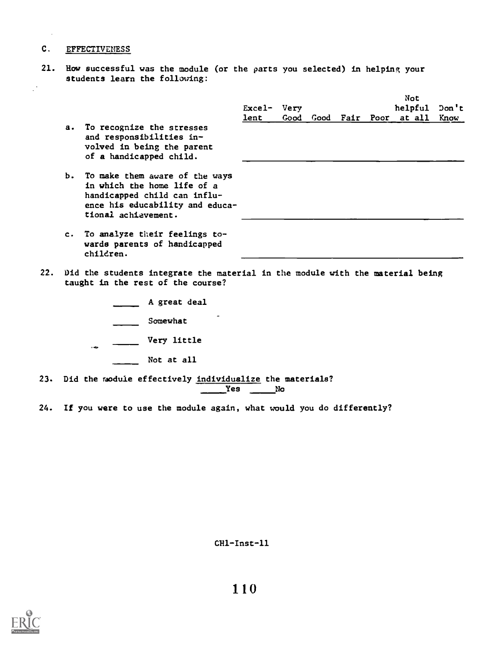## C. EFFECTIVENESS

21. How successful was the module (or the parts you selected) in helping your students learn the following:

|                |                                                                                                                                                            | $\text{Excel-}$<br>lent | Very<br>Good | Good |  | Not<br>helpful<br><b>Fair Poor at all</b> | Don't<br>Know |
|----------------|------------------------------------------------------------------------------------------------------------------------------------------------------------|-------------------------|--------------|------|--|-------------------------------------------|---------------|
| $\mathbf{a}$ . | To recognize the stresses<br>and responsibilities in-<br>volved in being the parent<br>of a handicapped child.                                             |                         |              |      |  |                                           |               |
|                | b. To make them aware of the ways<br>in which the home life of a<br>handicapped child can influ-<br>ence his educability and educa-<br>tional achievement. |                         |              |      |  |                                           |               |
| $c_{\cdot}$    | To analyze their feelings to-<br>wards parents of handicapped                                                                                              |                         |              |      |  |                                           |               |

- 22. Did the students integrate the material in the module with the material being taught in the rest of the course?
	- A great deal
	- Somewhat

children.

- Very little
	- Not at all
- 23. Did the module effectively individualize the materials? Yes NO
- 24. If you were to use the module again, what would you do differently?

 $CH1$ -Inst-11

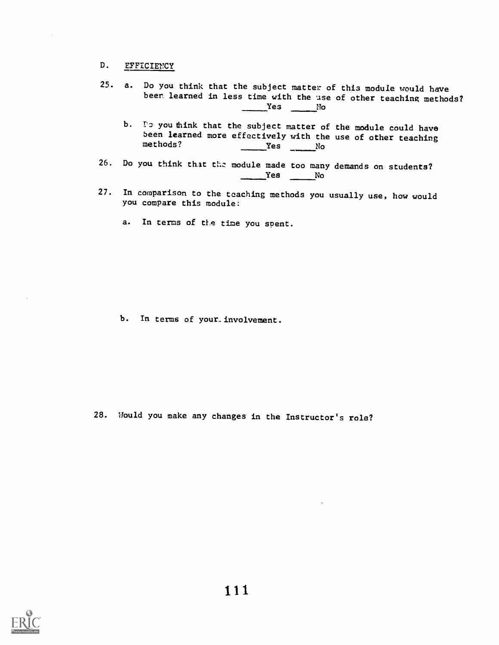#### D. EFFICIENCY

- 25. a. Do you think that the subject matter of this module would have beer learned in less time with the use of other teaching methods? Yes No
	- b. Is you think that the subject matter of the module could have been learned more effectively with the use of other teaching<br>methods?  $Yes$  No
- 26. Do you think that the module made too many demands on students? Yes No
- 27. In comparison to the teaching methods you usually use, how would you compare this module:
	- a. In terms of the time you spent.

b. In terms of your involvement.

28. Would you make any changes in the Instructor's role?